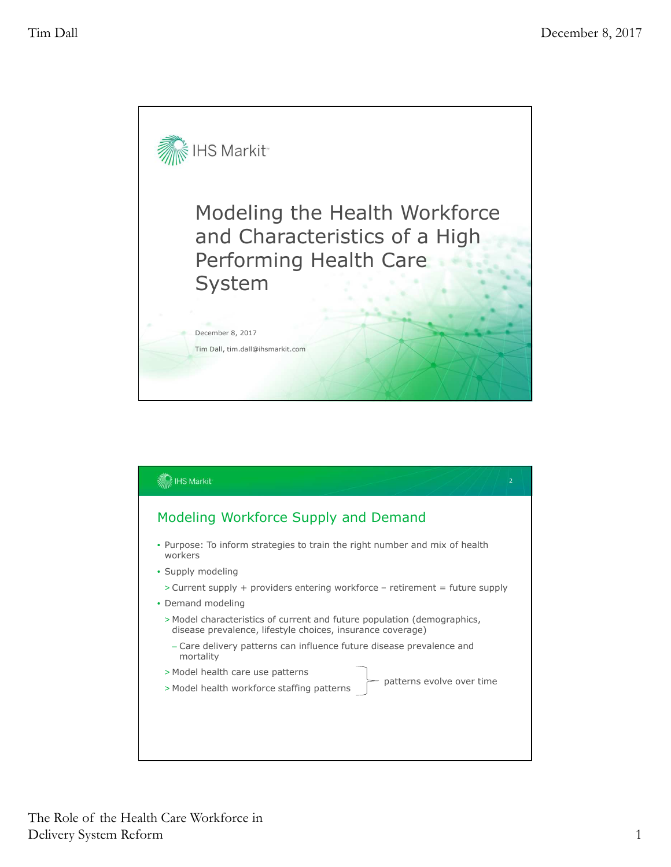

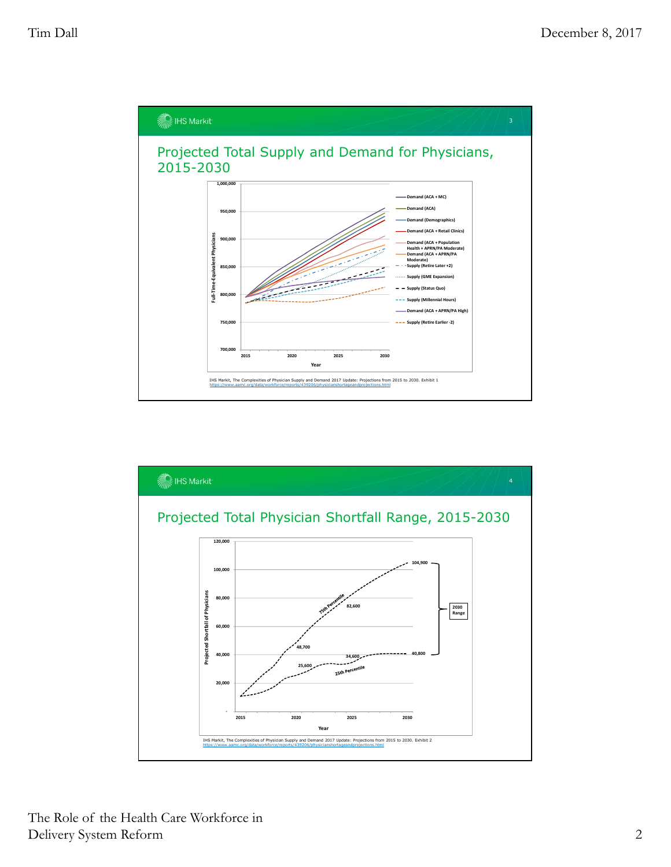

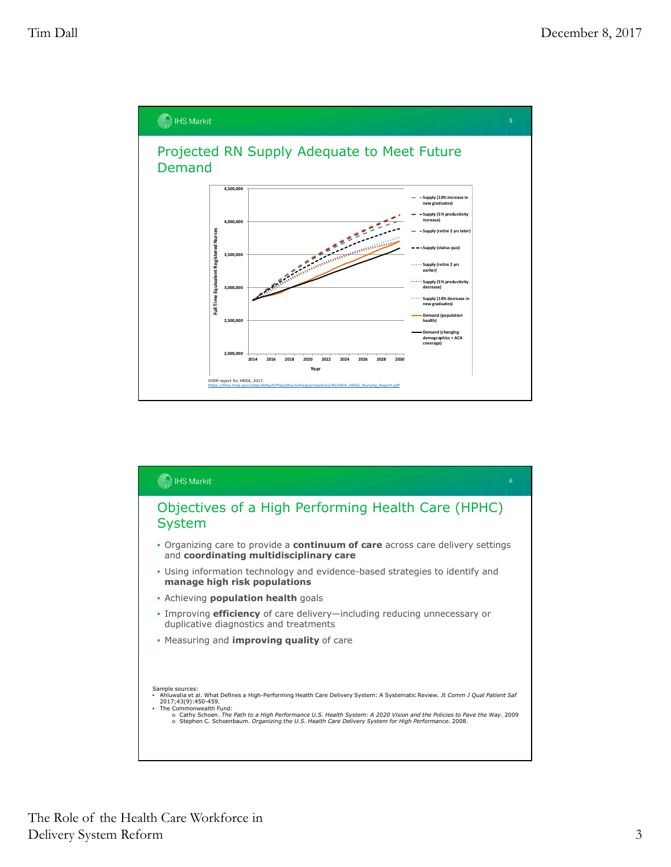

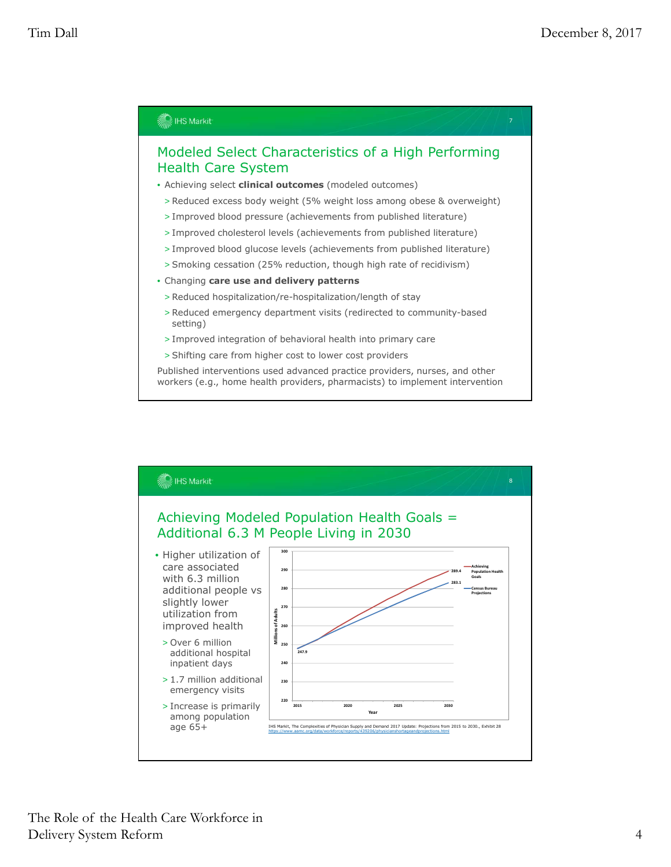

- 
- > Improved cholesterol levels (achievements from published literature)
- > Improved blood glucose levels (achievements from published literature)
- > Smoking cessation (25% reduction, though high rate of recidivism)
- Changing **care use and delivery patterns**
- > Reduced hospitalization/re-hospitalization/length of stay
- > Reduced emergency department visits (redirected to community-based setting)
- > Improved integration of behavioral health into primary care
- > Shifting care from higher cost to lower cost providers

Published interventions used advanced practice providers, nurses, and other workers (e.g., home health providers, pharmacists) to implement intervention

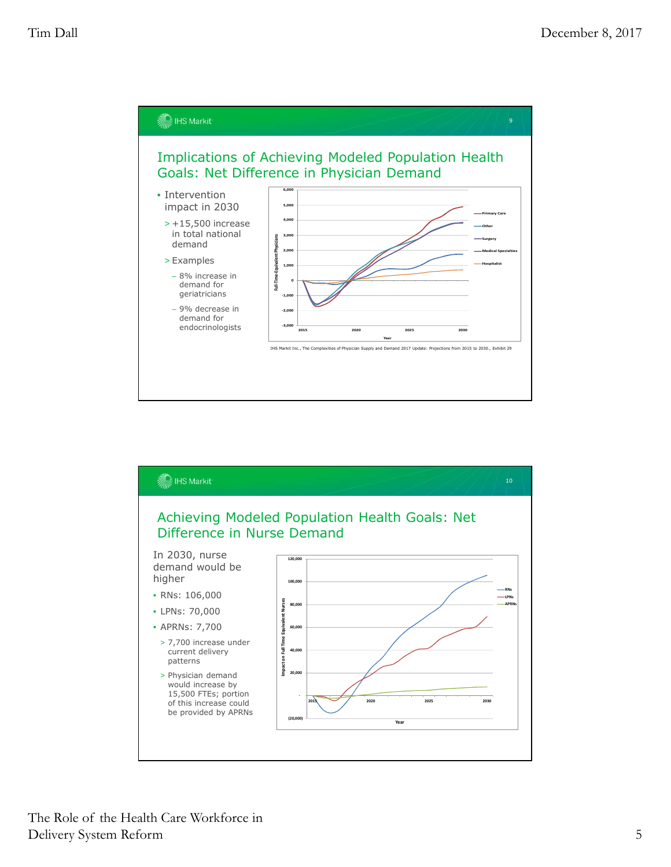